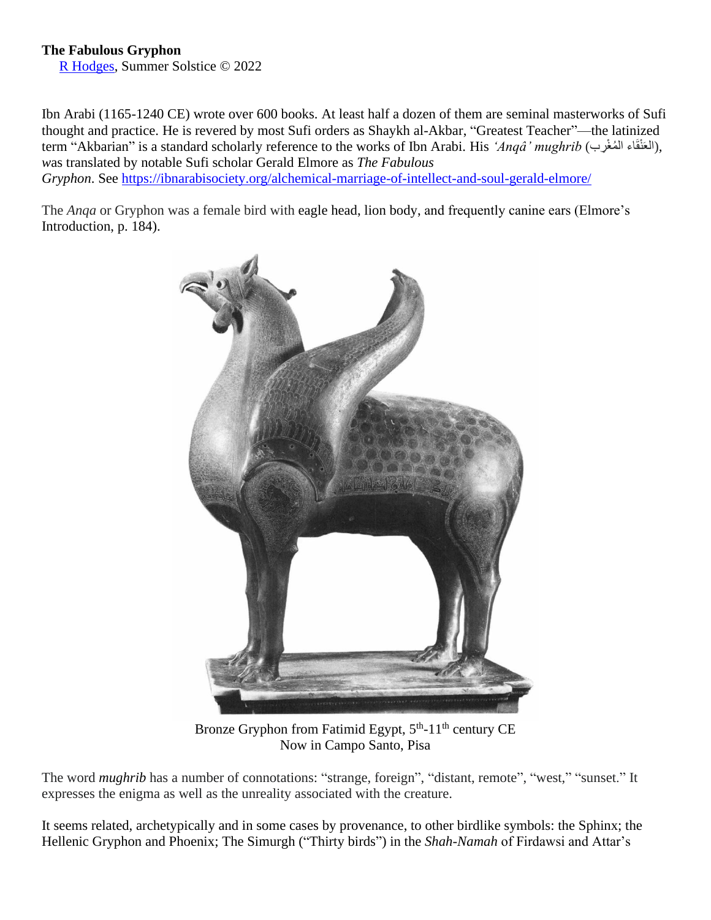## **The Fabulous Gryphon**

[R Hodges,](http://www.richardhodges.com/) Summer Solstice © 2022

Ibn Arabi (1165-1240 CE) wrote over 600 books. At least half a dozen of them are seminal masterworks of Sufi thought and practice. He is revered by most Sufi orders as Shaykh al-Akbar, "Greatest Teacher"—the latinized term "Akbarian" is a standard scholarly reference to the works of Ibn Arabi. His *'Anqâ' mughrib* (العَنْقَاء المُغْرب), *w*as translated by notable Sufi scholar Gerald Elmore as *The Fabulous Gryphon*. See <https://ibnarabisociety.org/alchemical-marriage-of-intellect-and-soul-gerald-elmore/>

The *Anqa* or Gryphon was a female bird with eagle head, lion body, and frequently canine ears (Elmore's Introduction, p. 184).



Bronze Gryphon from Fatimid Egypt, 5<sup>th</sup>-11<sup>th</sup> century CE Now in Campo Santo, Pisa

The word *mughrib* has a number of connotations: "strange, foreign", "distant, remote", "west," "sunset." It expresses the enigma as well as the unreality associated with the creature.

It seems related, archetypically and in some cases by provenance, to other birdlike symbols: the Sphinx; the Hellenic Gryphon and Phoenix; The Simurgh ("Thirty birds") in the *Shah-Namah* of Firdawsi and Attar's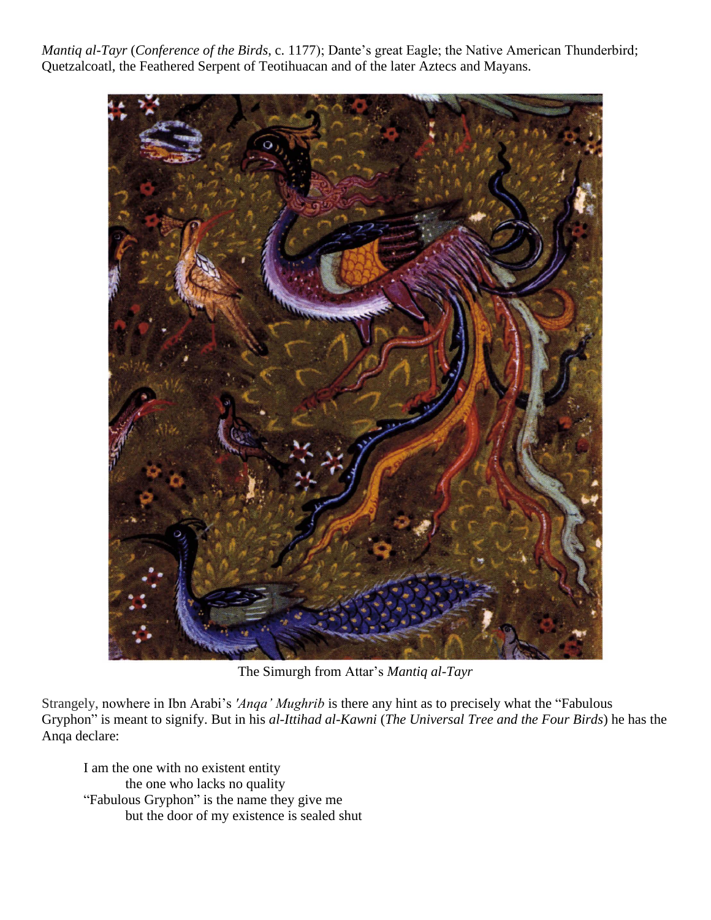*Mantiq al-Tayr* (*Conference of the Birds*, c. 1177); Dante's great Eagle; the Native American Thunderbird; Quetzalcoatl, the Feathered Serpent of Teotihuacan and of the later Aztecs and Mayans.



The Simurgh from Attar's *Mantiq al-Tayr*

Strangely, nowhere in Ibn Arabi's *'Anqa' Mughrib* is there any hint as to precisely what the "Fabulous Gryphon" is meant to signify. But in his *al-Ittihad al-Kawni* (*The Universal Tree and the Four Birds*) he has the Anqa declare:

I am the one with no existent entity the one who lacks no quality "Fabulous Gryphon" is the name they give me but the door of my existence is sealed shut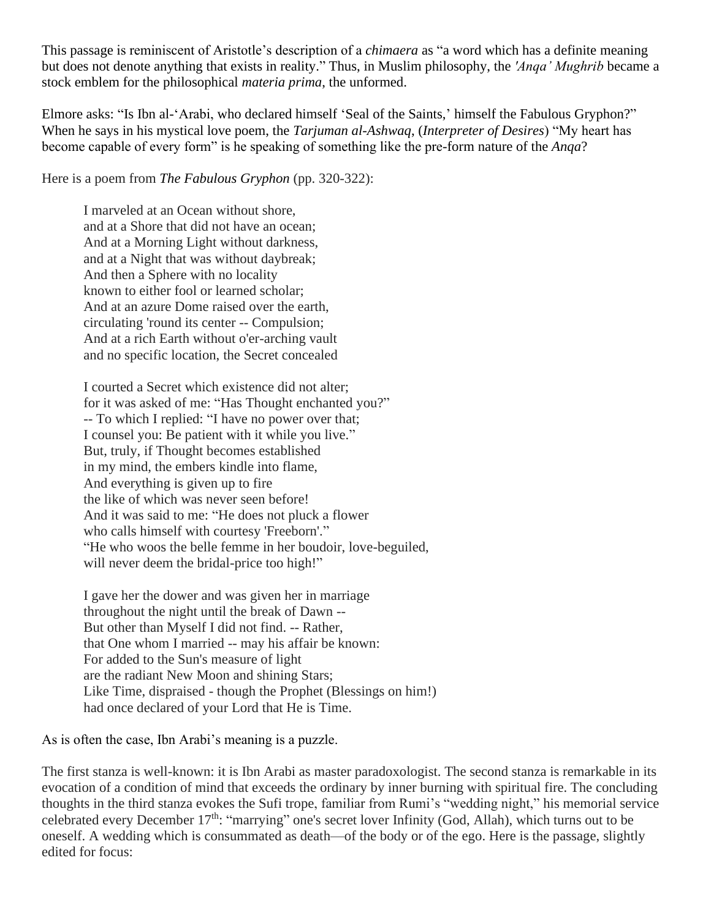This passage is reminiscent of Aristotle's description of a *chimaera* as "a word which has a definite meaning but does not denote anything that exists in reality." Thus, in Muslim philosophy, the *'Anqa' Mughrib* became a stock emblem for the philosophical *materia prima*, the unformed.

Elmore asks: "Is Ibn al-'Arabi, who declared himself 'Seal of the Saints,' himself the Fabulous Gryphon?" When he says in his mystical love poem, the *Tarjuman al-Ashwaq*, (*Interpreter of Desires*) "My heart has become capable of every form" is he speaking of something like the pre-form nature of the *Anqa*?

Here is a poem from *The Fabulous Gryphon* (pp. 320-322):

I marveled at an Ocean without shore, and at a Shore that did not have an ocean; And at a Morning Light without darkness, and at a Night that was without daybreak; And then a Sphere with no locality known to either fool or learned scholar; And at an azure Dome raised over the earth, circulating 'round its center -- Compulsion; And at a rich Earth without o'er-arching vault and no specific location, the Secret concealed

I courted a Secret which existence did not alter; for it was asked of me: "Has Thought enchanted you?" -- To which I replied: "I have no power over that; I counsel you: Be patient with it while you live." But, truly, if Thought becomes established in my mind, the embers kindle into flame, And everything is given up to fire the like of which was never seen before! And it was said to me: "He does not pluck a flower who calls himself with courtesy 'Freeborn'." "He who woos the belle femme in her boudoir, love-beguiled, will never deem the bridal-price too high!"

I gave her the dower and was given her in marriage throughout the night until the break of Dawn -- But other than Myself I did not find. -- Rather, that One whom I married -- may his affair be known: For added to the Sun's measure of light are the radiant New Moon and shining Stars; Like Time, dispraised - though the Prophet (Blessings on him!) had once declared of your Lord that He is Time.

As is often the case, Ibn Arabi's meaning is a puzzle.

The first stanza is well-known: it is Ibn Arabi as master paradoxologist. The second stanza is remarkable in its evocation of a condition of mind that exceeds the ordinary by inner burning with spiritual fire. The concluding thoughts in the third stanza evokes the Sufi trope, familiar from Rumi's "wedding night," his memorial service celebrated every December 17<sup>th</sup>: "marrying" one's secret lover Infinity (God, Allah), which turns out to be oneself. A wedding which is consummated as death—of the body or of the ego. Here is the passage, slightly edited for focus: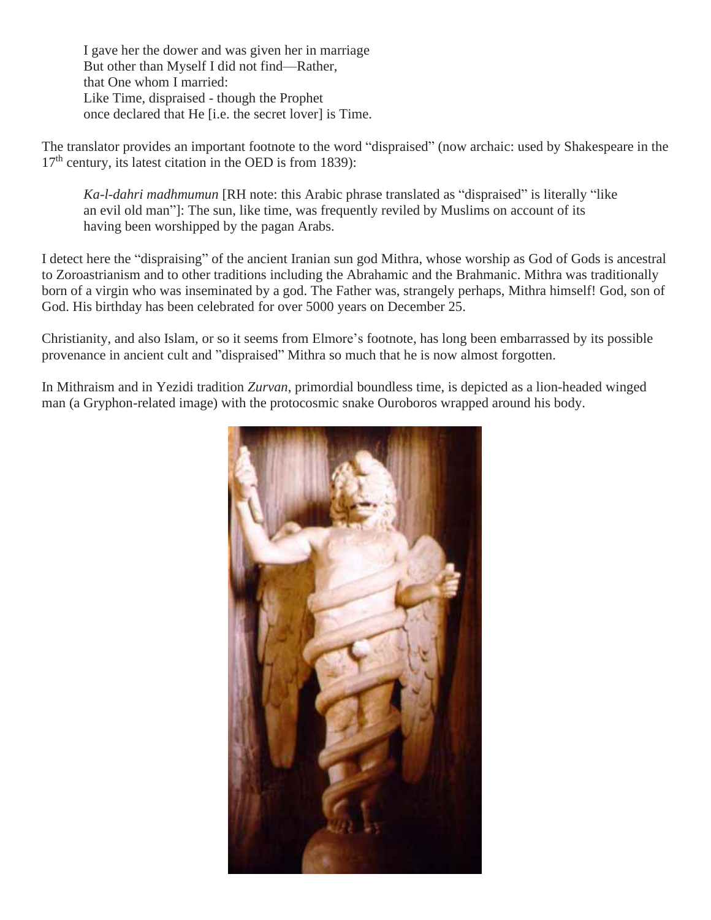I gave her the dower and was given her in marriage But other than Myself I did not find—Rather, that One whom I married: Like Time, dispraised - though the Prophet once declared that He [i.e. the secret lover] is Time.

The translator provides an important footnote to the word "dispraised" (now archaic: used by Shakespeare in the  $17<sup>th</sup>$  century, its latest citation in the OED is from 1839):

*Ka-l-dahri madhmumun* [RH note: this Arabic phrase translated as "dispraised" is literally "like an evil old man"]: The sun, like time, was frequently reviled by Muslims on account of its having been worshipped by the pagan Arabs.

I detect here the "dispraising" of the ancient Iranian sun god Mithra, whose worship as God of Gods is ancestral to Zoroastrianism and to other traditions including the Abrahamic and the Brahmanic. Mithra was traditionally born of a virgin who was inseminated by a god. The Father was, strangely perhaps, Mithra himself! God, son of God. His birthday has been celebrated for over 5000 years on December 25.

Christianity, and also Islam, or so it seems from Elmore's footnote, has long been embarrassed by its possible provenance in ancient cult and "dispraised" Mithra so much that he is now almost forgotten.

In Mithraism and in Yezidi tradition *Zurvan*, primordial boundless time, is depicted as a lion-headed winged man (a Gryphon-related image) with the protocosmic snake Ouroboros wrapped around his body.